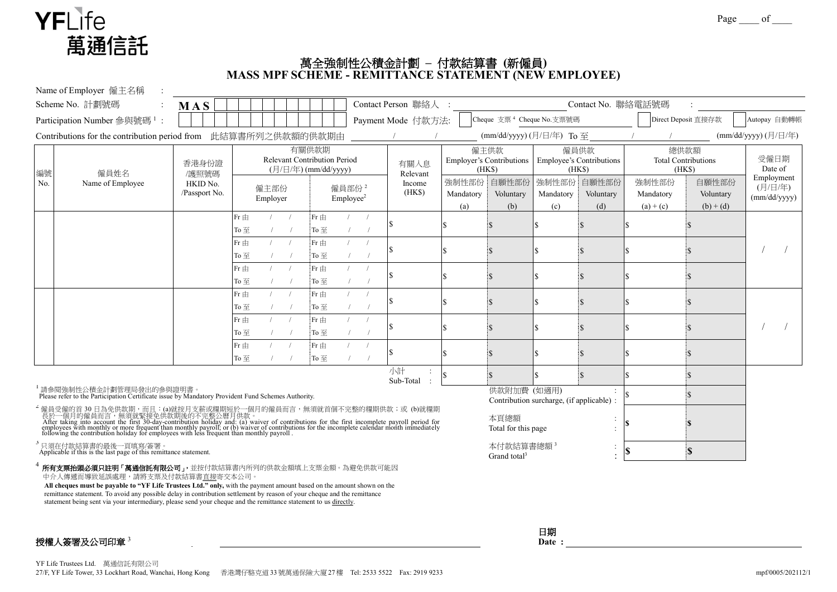

## 萬全強制性公積金計劃 **–** 付款結算書 **(**新僱員**) MASS MPF SCHEME - REMITTANCE STATEMENT (NEW EMPLOYEE)**

|                                                                                                                               | Name of Employer 僱主名稱                                                                                                                                                                                                               |                           |                               |                                                                      |            |                                                |                                            |            |                    |                                                                     |                                           |                                                  |                                 |                                             |                                   |                                       |
|-------------------------------------------------------------------------------------------------------------------------------|-------------------------------------------------------------------------------------------------------------------------------------------------------------------------------------------------------------------------------------|---------------------------|-------------------------------|----------------------------------------------------------------------|------------|------------------------------------------------|--------------------------------------------|------------|--------------------|---------------------------------------------------------------------|-------------------------------------------|--------------------------------------------------|---------------------------------|---------------------------------------------|-----------------------------------|---------------------------------------|
|                                                                                                                               | Scheme No. 計劃號碼                                                                                                                                                                                                                     | MAS                       |                               |                                                                      |            |                                                |                                            |            | Contact Person 聯絡人 |                                                                     |                                           |                                                  | Contact No. 聯絡電話號碼              |                                             |                                   |                                       |
|                                                                                                                               | Participation Number 参與號碼 <sup>1</sup> :                                                                                                                                                                                            |                           |                               |                                                                      |            |                                                |                                            |            | Payment Mode 付款方法: |                                                                     | Cheque 支票 <sup>4</sup> Cheque No.支票號碼     |                                                  |                                 |                                             | Direct Deposit 直接存款               | Autopay 自動轉帳                          |
|                                                                                                                               | Contributions for the contribution period from 此結算書所列之供款額的供款期由                                                                                                                                                                      |                           |                               |                                                                      |            |                                                |                                            |            |                    |                                                                     | (mm/dd/yyyy) (月/日/年) To 至                 |                                                  |                                 |                                             |                                   | (mm/dd/yyyy) (月/日/年)                  |
| 編號<br>No.                                                                                                                     | 僱員姓名<br>Name of Employee                                                                                                                                                                                                            | 香港身份證<br>/護照號碼            |                               | 有關供款期<br><b>Relevant Contribution Period</b><br>(月/日/年) (mm/dd/yyyy) |            |                                                |                                            |            | 有關入息<br>Relevant   | 僱主供款<br><b>Employer's Contributions</b><br>(HKS)                    |                                           | 僱員供款<br><b>Employee's Contributions</b><br>(HKS) |                                 | 總供款額<br><b>Total Contributions</b><br>(HKS) |                                   | 受僱日期<br>Date of                       |
|                                                                                                                               |                                                                                                                                                                                                                                     | HKID No.<br>/Passport No. |                               | 僱主部份<br>Employer                                                     |            |                                                | 僱員部份 <sup>2</sup><br>Emplovee <sup>2</sup> |            | Income<br>(HKS)    | 強制性部份<br>Mandatory<br>(a)                                           | 自願性部份<br>Voluntary<br>(b)                 | Mandatory<br>(c)                                 | 強制性部份 自願性部份<br>Voluntary<br>(d) | 強制性部份<br>Mandatory<br>$(a) + (c)$           | 自願性部份<br>Voluntary<br>$(b) + (d)$ | Employment<br>(月/日/年)<br>(mm/dd/yyyy) |
|                                                                                                                               |                                                                                                                                                                                                                                     |                           | Fr $\pm$<br>To至               |                                                                      |            | $Fr \nbox{ H}$<br>To $\overline{\mathbf{\Xi}}$ |                                            |            |                    |                                                                     |                                           |                                                  |                                 |                                             |                                   |                                       |
|                                                                                                                               |                                                                                                                                                                                                                                     |                           | Fr 由<br>To $\overline{\pm}$   |                                                                      |            | $Fr \nbox{ H}$<br>To $\overline{\mathbf{\Xi}}$ |                                            |            |                    |                                                                     |                                           |                                                  |                                 |                                             |                                   |                                       |
|                                                                                                                               |                                                                                                                                                                                                                                     |                           | $Fr \nRightarrow$<br>To 至     |                                                                      |            | $Fr \nightrightarrows$<br>To 至                 |                                            |            |                    |                                                                     |                                           |                                                  |                                 |                                             |                                   |                                       |
|                                                                                                                               |                                                                                                                                                                                                                                     |                           | $Fr \nRightarrow$<br>To $\Xi$ |                                                                      |            | $Fr \nightrightarrows$<br>To $\Xi$             |                                            |            |                    |                                                                     |                                           |                                                  |                                 |                                             |                                   |                                       |
|                                                                                                                               |                                                                                                                                                                                                                                     |                           | Fr $\pm$<br>To至               |                                                                      |            | $Fr \nbox{ H}$<br>To $\Xi$                     |                                            |            |                    |                                                                     |                                           |                                                  |                                 |                                             |                                   |                                       |
|                                                                                                                               |                                                                                                                                                                                                                                     |                           | Fr $\pm$<br>To至               |                                                                      | $\sqrt{2}$ | $Fr \nbox{ H}$<br>To $\overline{\pm}$          |                                            | $\sqrt{ }$ |                    |                                                                     |                                           |                                                  |                                 |                                             |                                   |                                       |
|                                                                                                                               |                                                                                                                                                                                                                                     |                           |                               |                                                                      |            |                                                |                                            |            | 小計<br>Sub-Total    |                                                                     |                                           |                                                  |                                 |                                             |                                   |                                       |
| 請參閱強制性公積金計劃管理局發出的參與證明書。<br>Please refer to the Participation Certificate issue by Mandatory Provident Fund Schemes Authority. |                                                                                                                                                                                                                                     |                           |                               |                                                                      |            |                                                |                                            |            | 供款附加費 (如適用)        |                                                                     | Contribution surcharge, (if applicable) : |                                                  |                                 |                                             |                                   |                                       |
|                                                                                                                               | '僱員受僱的首 30 日為免供款期,而且:(a)就按月支薪或糧期短於一個月的僱員而言,無須就首個不完整的糧期供款;或 (b)就糧期長於一個月的僱員而言,無須就緊接免供款期後的不完整公曆月供款。<br>人工個月的僱員而言,無須就緊接免供款期後的不完整公曆月供款。<br>After taking into account the first 30-day-contribution holiday and: (a) waiver of contributi |                           |                               |                                                                      |            |                                                |                                            |            |                    |                                                                     | 本頁總額<br>Total for this page               |                                                  |                                 |                                             |                                   |                                       |
| <sup>3</sup> 只須在付款結算書的最後一頁填寫/簽署。<br>Applicable if this is the last page of this remittance statement.                         |                                                                                                                                                                                                                                     |                           |                               |                                                                      |            |                                                |                                            |            |                    | 本付款結算書總額 <sup>3</sup><br>$\ddot{\cdot}$<br>Grand total <sup>3</sup> |                                           |                                                  |                                 | $\mathbf{s}$                                |                                   |                                       |
|                                                                                                                               | 所有支票抬頭必須只註明「萬通信託有限公司」,並按付款結算書內所列的供款金額填上支票金額。為避免供款可能因<br>中介人傳遞而導致延誤處理,請將支票及付款結算書直接寄交本公司。                                                                                                                                             |                           |                               |                                                                      |            |                                                |                                            |            |                    |                                                                     |                                           |                                                  |                                 |                                             |                                   |                                       |

**All cheques must be payable to "YF Life Trustees Ltd." only,** with the payment amount based on the amount shown on the remittance statement. To avoid any possible delay in contribution settlement by reason of your cheque and the remittance statement being sent via your intermediary, please send your cheque and the remittance statement to us directly.

授權人簽署及公司印章 3 **Authorized Signature & Company Chop**<sup>3</sup>

| 日期   |  |
|------|--|
| Date |  |